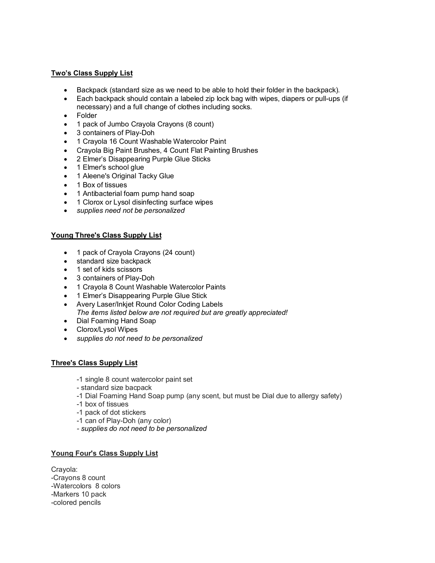#### **Two's Class Supply List**

- Backpack (standard size as we need to be able to hold their folder in the backpack).
- Each backpack should contain a labeled zip lock bag with wipes, diapers or pull-ups (if necessary) and a full change of clothes including socks.
- Folder
- 1 pack of Jumbo Crayola Crayons (8 count)
- 3 containers of Play-Doh
- 1 Crayola 16 Count Washable Watercolor Paint
- Crayola Big Paint Brushes, 4 Count Flat Painting Brushes
- 2 Elmer's Disappearing Purple Glue Sticks
- 1 Elmer's school glue
- 1 Aleene's Original Tacky Glue
- 1 Box of tissues
- 1 Antibacterial foam pump hand soap
- 1 Clorox or Lysol disinfecting surface wipes
- *supplies need not be personalized*

# **Young Three's Class Supply List**

- 1 pack of Crayola Crayons (24 count)
- standard size backpack
- 1 set of kids scissors
- 3 containers of Play-Doh
- 1 Crayola 8 Count Washable Watercolor Paints
- 1 Elmer's Disappearing Purple Glue Stick
- Avery Laser/Inkjet Round Color Coding Labels *The items listed below are not required but are greatly appreciated!*
- Dial Foaming Hand Soap
- Clorox/Lysol Wipes
- *supplies do not need to be personalized*

#### **Three's Class Supply List**

- -1 single 8 count watercolor paint set
- standard size bacpack
- -1 Dial Foaming Hand Soap pump (any scent, but must be Dial due to allergy safety)
- -1 box of tissues
- -1 pack of dot stickers
- -1 can of Play-Doh (any color)
- *- supplies do not need to be personalized*

# **Young Four's Class Supply List**

Crayola: -Crayons 8 count -Watercolors 8 colors -Markers 10 pack -colored pencils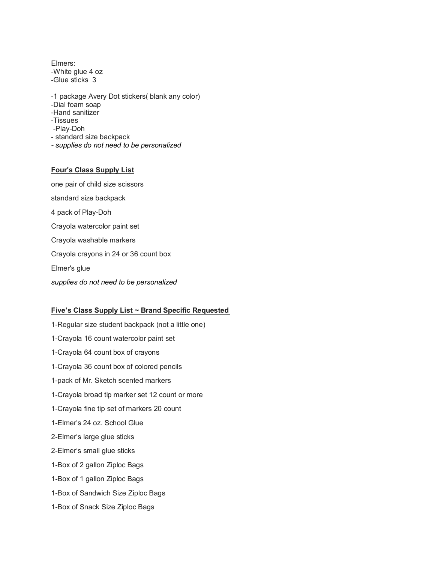Elmers: -White glue 4 oz -Glue sticks 3

-1 package Avery Dot stickers( blank any color)

-Dial foam soap

- -Hand sanitizer
- -Tissues
- -Play-Doh
- standard size backpack
- *- supplies do not need to be personalized*

# **Four's Class Supply List**

one pair of child size scissors standard size backpack 4 pack of Play-Doh Crayola watercolor paint set Crayola washable markers Crayola crayons in 24 or 36 count box Elmer's glue

*supplies do not need to be personalized* 

# **Five's Class Supply List ~ Brand Specific Requested**

1-Regular size student backpack (not a little one) 1-Crayola 16 count watercolor paint set 1-Crayola 64 count box of crayons 1-Crayola 36 count box of colored pencils 1-pack of Mr. Sketch scented markers 1-Crayola broad tip marker set 12 count or more 1-Crayola fine tip set of markers 20 count 1-Elmer's 24 oz. School Glue 2-Elmer's large glue sticks 2-Elmer's small glue sticks 1-Box of 2 gallon Ziploc Bags 1-Box of 1 gallon Ziploc Bags 1-Box of Sandwich Size Ziploc Bags 1-Box of Snack Size Ziploc Bags